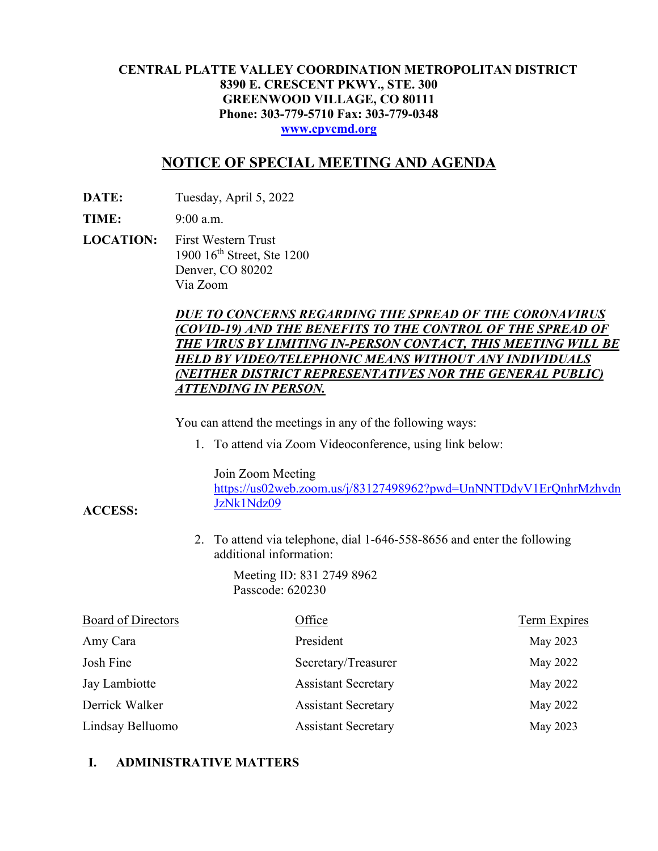#### **CENTRAL PLATTE VALLEY COORDINATION METROPOLITAN DISTRICT 8390 E. CRESCENT PKWY., STE. 300 GREENWOOD VILLAGE, CO 80111 Phone: 303-779-5710 Fax: 303-779-0348 [www.cpvcmd.org](http://www.cpvcmd.org/)**

# **NOTICE OF SPECIAL MEETING AND AGENDA**

**DATE:** Tuesday, April 5, 2022

**TIME:** 9:00 a.m.

**ACCESS:**

**LOCATION:** First Western Trust 1900 16<sup>th</sup> Street, Ste 1200 Denver, CO 80202 Via Zoom

### *DUE TO CONCERNS REGARDING THE SPREAD OF THE CORONAVIRUS (COVID-19) AND THE BENEFITS TO THE CONTROL OF THE SPREAD OF THE VIRUS BY LIMITING IN-PERSON CONTACT, THIS MEETING WILL BE HELD BY VIDEO/TELEPHONIC MEANS WITHOUT ANY INDIVIDUALS (NEITHER DISTRICT REPRESENTATIVES NOR THE GENERAL PUBLIC) ATTENDING IN PERSON.*

You can attend the meetings in any of the following ways:

1. To attend via Zoom Videoconference, using link below:

Join Zoom Meeting

[https://us02web.zoom.us/j/83127498962?pwd=UnNNTDdyV1ErQnhrMzhvdn](https://nam11.safelinks.protection.outlook.com/?url=https%3A%2F%2Fus02web.zoom.us%2Fj%2F83127498962%3Fpwd%3DUnNNTDdyV1ErQnhrMzhvdnJzNk1Ndz09&data=04%7C01%7CRachel.alles%40claconnect.com%7C515b8a3a5bb149f0483608d9bfe9225c%7C4aaa468e93ba4ee3ab9f6a247aa3ade0%7C0%7C0%7C637751830440162010%7CUnknown%7CTWFpbGZsb3d8eyJWIjoiMC4wLjAwMDAiLCJQIjoiV2luMzIiLCJBTiI6Ik1haWwiLCJXVCI6Mn0%3D%7C1000&sdata=52L7UuwlopVA0rXq4v79MPjtXkMJTQPWRs1BvoYRINs%3D&reserved=0) [JzNk1Ndz09](https://nam11.safelinks.protection.outlook.com/?url=https%3A%2F%2Fus02web.zoom.us%2Fj%2F83127498962%3Fpwd%3DUnNNTDdyV1ErQnhrMzhvdnJzNk1Ndz09&data=04%7C01%7CRachel.alles%40claconnect.com%7C515b8a3a5bb149f0483608d9bfe9225c%7C4aaa468e93ba4ee3ab9f6a247aa3ade0%7C0%7C0%7C637751830440162010%7CUnknown%7CTWFpbGZsb3d8eyJWIjoiMC4wLjAwMDAiLCJQIjoiV2luMzIiLCJBTiI6Ik1haWwiLCJXVCI6Mn0%3D%7C1000&sdata=52L7UuwlopVA0rXq4v79MPjtXkMJTQPWRs1BvoYRINs%3D&reserved=0)

2. To attend via telephone, dial 1-646-558-8656 and enter the following additional information:

> Meeting ID: 831 2749 8962 Passcode: 620230

| <b>Board of Directors</b> | Office                     | <b>Term Expires</b> |
|---------------------------|----------------------------|---------------------|
| Amy Cara                  | President                  | May 2023            |
| Josh Fine                 | Secretary/Treasurer        | May 2022            |
| Jay Lambiotte             | <b>Assistant Secretary</b> | May 2022            |
| Derrick Walker            | <b>Assistant Secretary</b> | May 2022            |
| Lindsay Belluomo          | <b>Assistant Secretary</b> | May 2023            |

# **I. ADMINISTRATIVE MATTERS**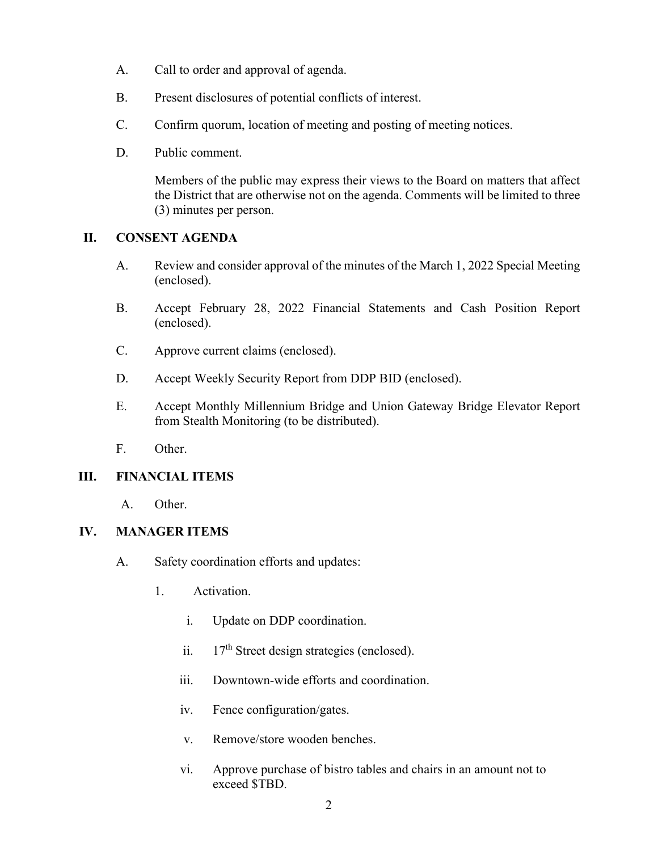- A. Call to order and approval of agenda.
- B. Present disclosures of potential conflicts of interest.
- C. Confirm quorum, location of meeting and posting of meeting notices.
- D. Public comment.

Members of the public may express their views to the Board on matters that affect the District that are otherwise not on the agenda. Comments will be limited to three (3) minutes per person.

# **II. CONSENT AGENDA**

- A. Review and consider approval of the minutes of the March 1, 2022 Special Meeting (enclosed).
- B. Accept February 28, 2022 Financial Statements and Cash Position Report (enclosed).
- C. Approve current claims (enclosed).
- D. Accept Weekly Security Report from DDP BID (enclosed).
- E. Accept Monthly Millennium Bridge and Union Gateway Bridge Elevator Report from Stealth Monitoring (to be distributed).
- F. Other.

# **III. FINANCIAL ITEMS**

A. Other.

# **IV. MANAGER ITEMS**

- A. Safety coordination efforts and updates:
	- 1. Activation.
		- i. Update on DDP coordination.
		- ii.  $17<sup>th</sup>$  Street design strategies (enclosed).
		- iii. Downtown-wide efforts and coordination.
		- iv. Fence configuration/gates.
		- v. Remove/store wooden benches.
		- vi. Approve purchase of bistro tables and chairs in an amount not to exceed \$TBD.